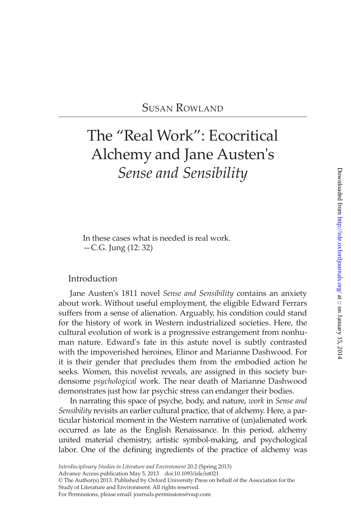# SUSAN ROWLAND

# The "Real Work": Ecocritical Alchemy and Jane Austen's Sense and Sensibility

In these cases what is needed is real work. —C.G. Jung (12: 32)

# Introduction

Jane Austen's 1811 novel Sense and Sensibility contains an anxiety about work. Without useful employment, the eligible Edward Ferrars suffers from a sense of alienation. Arguably, his condition could stand for the history of work in Western industrialized societies. Here, the cultural evolution of work is a progressive estrangement from nonhuman nature. Edward's fate in this astute novel is subtly contrasted with the impoverished heroines, Elinor and Marianne Dashwood. For it is their gender that precludes them from the embodied action he seeks. Women, this novelist reveals, are assigned in this society burdensome psychological work. The near death of Marianne Dashwood demonstrates just how far psychic stress can endanger their bodies.

In narrating this space of psyche, body, and nature, work in Sense and Sensibility revisits an earlier cultural practice, that of alchemy. Here, a particular historical moment in the Western narrative of (un)alienated work occurred as late as the English Renaissance. In this period, alchemy united material chemistry, artistic symbol-making, and psychological labor. One of the defining ingredients of the practice of alchemy was

Interdisciplinary Studies in Literature and Environment 20.2 (Spring 2013) Advance Access publication May 5, 2013 doi:10.1093/isle/ist021 © The Author(s) 2013. Published by Oxford University Press on behalf of the Association for the Study of Literature and Environment. All rights reserved. For Permissions, please email: journals.permissions@oup.com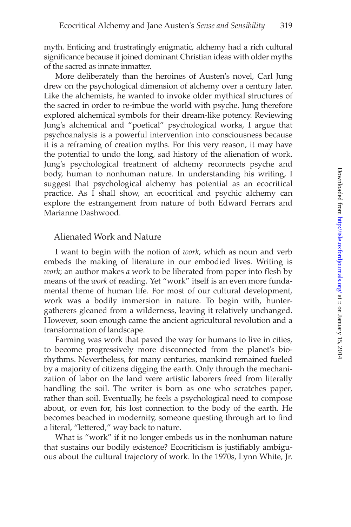myth. Enticing and frustratingly enigmatic, alchemy had a rich cultural significance because it joined dominant Christian ideas with older myths of the sacred as innate inmatter.

More deliberately than the heroines of Austen's novel, Carl Jung drew on the psychological dimension of alchemy over a century later. Like the alchemists, he wanted to invoke older mythical structures of the sacred in order to re-imbue the world with psyche. Jung therefore explored alchemical symbols for their dream-like potency. Reviewing Jung's alchemical and "poetical" psychological works, I argue that psychoanalysis is a powerful intervention into consciousness because it is a reframing of creation myths. For this very reason, it may have the potential to undo the long, sad history of the alienation of work. Jung's psychological treatment of alchemy reconnects psyche and body, human to nonhuman nature. In understanding his writing, I suggest that psychological alchemy has potential as an ecocritical practice. As I shall show, an ecocritical and psychic alchemy can explore the estrangement from nature of both Edward Ferrars and Marianne Dashwood.

#### Alienated Work and Nature

I want to begin with the notion of work, which as noun and verb embeds the making of literature in our embodied lives. Writing is work; an author makes a work to be liberated from paper into flesh by means of the work of reading. Yet "work" itself is an even more fundamental theme of human life. For most of our cultural development, work was a bodily immersion in nature. To begin with, huntergatherers gleaned from a wilderness, leaving it relatively unchanged. However, soon enough came the ancient agricultural revolution and a transformation of landscape.

Farming was work that paved the way for humans to live in cities, to become progressively more disconnected from the planet's biorhythms. Nevertheless, for many centuries, mankind remained fueled by a majority of citizens digging the earth. Only through the mechanization of labor on the land were artistic laborers freed from literally handling the soil. The writer is born as one who scratches paper, rather than soil. Eventually, he feels a psychological need to compose about, or even for, his lost connection to the body of the earth. He becomes beached in modernity, someone questing through art to find a literal, "lettered," way back to nature.

What is "work" if it no longer embeds us in the nonhuman nature that sustains our bodily existence? Ecocriticism is justifiably ambiguous about the cultural trajectory of work. In the 1970s, Lynn White, Jr.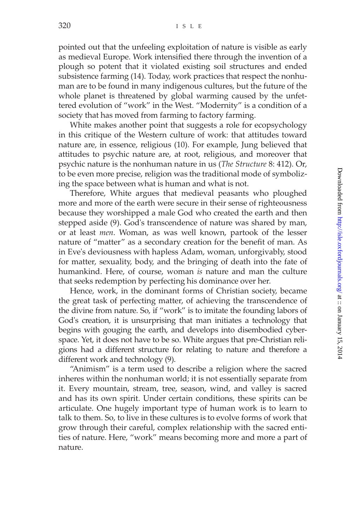pointed out that the unfeeling exploitation of nature is visible as early as medieval Europe. Work intensified there through the invention of a plough so potent that it violated existing soil structures and ended subsistence farming (14). Today, work practices that respect the nonhuman are to be found in many indigenous cultures, but the future of the whole planet is threatened by global warming caused by the unfettered evolution of "work" in the West. "Modernity" is a condition of a society that has moved from farming to factory farming.

White makes another point that suggests a role for ecopsychology in this critique of the Western culture of work: that attitudes toward nature are, in essence, religious (10). For example, Jung believed that attitudes to psychic nature are, at root, religious, and moreover that psychic nature is the nonhuman nature in us (The Structure 8: 412). Or, to be even more precise, religion was the traditional mode of symbolizing the space between what is human and what is not.

Therefore, White argues that medieval peasants who ploughed more and more of the earth were secure in their sense of righteousness because they worshipped a male God who created the earth and then stepped aside (9). God's transcendence of nature was shared by man, or at least men. Woman, as was well known, partook of the lesser nature of "matter" as a secondary creation for the benefit of man. As in Eve's deviousness with hapless Adam, woman, unforgivably, stood for matter, sexuality, body, and the bringing of death into the fate of humankind. Here, of course, woman is nature and man the culture that seeks redemption by perfecting his dominance over her.

Hence, work, in the dominant forms of Christian society, became the great task of perfecting matter, of achieving the transcendence of the divine from nature. So, if "work" is to imitate the founding labors of God's creation, it is unsurprising that man initiates a technology that begins with gouging the earth, and develops into disembodied cyberspace. Yet, it does not have to be so. White argues that pre-Christian religions had a different structure for relating to nature and therefore a different work and technology (9).

"Animism" is a term used to describe a religion where the sacred inheres within the nonhuman world; it is not essentially separate from it. Every mountain, stream, tree, season, wind, and valley is sacred and has its own spirit. Under certain conditions, these spirits can be articulate. One hugely important type of human work is to learn to talk to them. So, to live in these cultures is to evolve forms of work that grow through their careful, complex relationship with the sacred entities of nature. Here, "work" means becoming more and more a part of nature.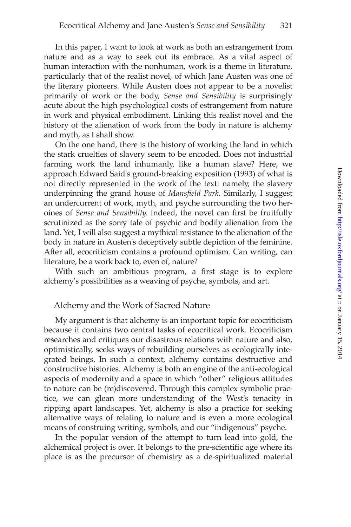In this paper, I want to look at work as both an estrangement from nature and as a way to seek out its embrace. As a vital aspect of human interaction with the nonhuman, work is a theme in literature, particularly that of the realist novel, of which Jane Austen was one of the literary pioneers. While Austen does not appear to be a novelist primarily of work or the body, Sense and Sensibility is surprisingly acute about the high psychological costs of estrangement from nature in work and physical embodiment. Linking this realist novel and the history of the alienation of work from the body in nature is alchemy and myth, as I shall show.

On the one hand, there is the history of working the land in which the stark cruelties of slavery seem to be encoded. Does not industrial farming work the land inhumanly, like a human slave? Here, we approach Edward Said's ground-breaking exposition (1993) of what is not directly represented in the work of the text: namely, the slavery underpinning the grand house of Mansfield Park. Similarly, I suggest an undercurrent of work, myth, and psyche surrounding the two heroines of Sense and Sensibility. Indeed, the novel can first be fruitfully scrutinized as the sorry tale of psychic and bodily alienation from the land. Yet, I will also suggest a mythical resistance to the alienation of the body in nature in Austen's deceptively subtle depiction of the feminine. After all, ecocriticism contains a profound optimism. Can writing, can literature, be a work back to, even of, nature?

With such an ambitious program, a first stage is to explore alchemy's possibilities as a weaving of psyche, symbols, and art.

## Alchemy and the Work of Sacred Nature

My argument is that alchemy is an important topic for ecocriticism because it contains two central tasks of ecocritical work. Ecocriticism researches and critiques our disastrous relations with nature and also, optimistically, seeks ways of rebuilding ourselves as ecologically integrated beings. In such a context, alchemy contains destructive and constructive histories. Alchemy is both an engine of the anti-ecological aspects of modernity and a space in which "other" religious attitudes to nature can be (re)discovered. Through this complex symbolic practice, we can glean more understanding of the West's tenacity in ripping apart landscapes. Yet, alchemy is also a practice for seeking alternative ways of relating to nature and is even a more ecological means of construing writing, symbols, and our "indigenous" psyche.

In the popular version of the attempt to turn lead into gold, the alchemical project is over. It belongs to the pre-scientific age where its place is as the precursor of chemistry as a de-spiritualized material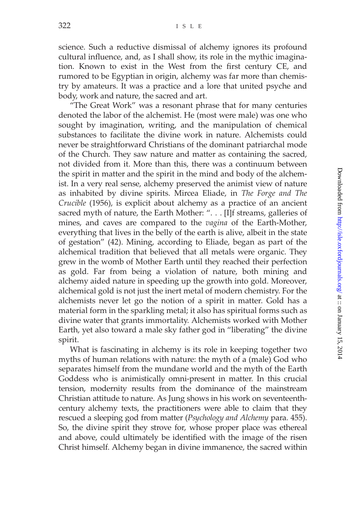science. Such a reductive dismissal of alchemy ignores its profound cultural influence, and, as I shall show, its role in the mythic imagination. Known to exist in the West from the first century CE, and rumored to be Egyptian in origin, alchemy was far more than chemistry by amateurs. It was a practice and a lore that united psyche and body, work and nature, the sacred and art.

"The Great Work" was a resonant phrase that for many centuries denoted the labor of the alchemist. He (most were male) was one who sought by imagination, writing, and the manipulation of chemical substances to facilitate the divine work in nature. Alchemists could never be straightforward Christians of the dominant patriarchal mode of the Church. They saw nature and matter as containing the sacred, not divided from it. More than this, there was a continuum between the spirit in matter and the spirit in the mind and body of the alchemist. In a very real sense, alchemy preserved the animist view of nature as inhabited by divine spirits. Mircea Eliade, in The Forge and The Crucible (1956), is explicit about alchemy as a practice of an ancient sacred myth of nature, the Earth Mother: ". . . [I]f streams, galleries of mines, and caves are compared to the *vagina* of the Earth-Mother, everything that lives in the belly of the earth is alive, albeit in the state of gestation" (42). Mining, according to Eliade, began as part of the alchemical tradition that believed that all metals were organic. They grew in the womb of Mother Earth until they reached their perfection as gold. Far from being a violation of nature, both mining and alchemy aided nature in speeding up the growth into gold. Moreover, alchemical gold is not just the inert metal of modern chemistry. For the alchemists never let go the notion of a spirit in matter. Gold has a material form in the sparkling metal; it also has spiritual forms such as divine water that grants immortality. Alchemists worked with Mother Earth, yet also toward a male sky father god in "liberating" the divine spirit.

What is fascinating in alchemy is its role in keeping together two myths of human relations with nature: the myth of a (male) God who separates himself from the mundane world and the myth of the Earth Goddess who is animistically omni-present in matter. In this crucial tension, modernity results from the dominance of the mainstream Christian attitude to nature. As Jung shows in his work on seventeenthcentury alchemy texts, the practitioners were able to claim that they rescued a sleeping god from matter (Psychology and Alchemy para. 455). So, the divine spirit they strove for, whose proper place was ethereal and above, could ultimately be identified with the image of the risen Christ himself. Alchemy began in divine immanence, the sacred within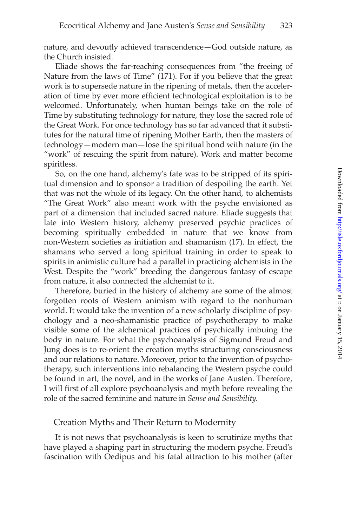nature, and devoutly achieved transcendence—God outside nature, as the Church insisted.

Eliade shows the far-reaching consequences from "the freeing of Nature from the laws of Time" (171). For if you believe that the great work is to supersede nature in the ripening of metals, then the acceleration of time by ever more efficient technological exploitation is to be welcomed. Unfortunately, when human beings take on the role of Time by substituting technology for nature, they lose the sacred role of the Great Work. For once technology has so far advanced that it substitutes for the natural time of ripening Mother Earth, then the masters of technology—modern man—lose the spiritual bond with nature (in the "work" of rescuing the spirit from nature). Work and matter become spiritless.

So, on the one hand, alchemy's fate was to be stripped of its spiritual dimension and to sponsor a tradition of despoiling the earth. Yet that was not the whole of its legacy. On the other hand, to alchemists "The Great Work" also meant work with the psyche envisioned as part of a dimension that included sacred nature. Eliade suggests that late into Western history, alchemy preserved psychic practices of becoming spiritually embedded in nature that we know from non-Western societies as initiation and shamanism (17). In effect, the shamans who served a long spiritual training in order to speak to spirits in animistic culture had a parallel in practicing alchemists in the West. Despite the "work" breeding the dangerous fantasy of escape from nature, it also connected the alchemist to it.

Therefore, buried in the history of alchemy are some of the almost forgotten roots of Western animism with regard to the nonhuman world. It would take the invention of a new scholarly discipline of psychology and a neo-shamanistic practice of psychotherapy to make visible some of the alchemical practices of psychically imbuing the body in nature. For what the psychoanalysis of Sigmund Freud and Jung does is to re-orient the creation myths structuring consciousness and our relations to nature. Moreover, prior to the invention of psychotherapy, such interventions into rebalancing the Western psyche could be found in art, the novel, and in the works of Jane Austen. Therefore, I will first of all explore psychoanalysis and myth before revealing the role of the sacred feminine and nature in Sense and Sensibility.

## Creation Myths and Their Return to Modernity

It is not news that psychoanalysis is keen to scrutinize myths that have played a shaping part in structuring the modern psyche. Freud's fascination with Oedipus and his fatal attraction to his mother (after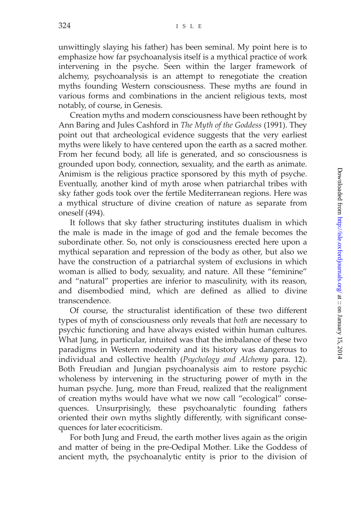unwittingly slaying his father) has been seminal. My point here is to emphasize how far psychoanalysis itself is a mythical practice of work intervening in the psyche. Seen within the larger framework of alchemy, psychoanalysis is an attempt to renegotiate the creation myths founding Western consciousness. These myths are found in various forms and combinations in the ancient religious texts, most notably, of course, in Genesis.

Creation myths and modern consciousness have been rethought by Ann Baring and Jules Cashford in The Myth of the Goddess (1991). They point out that archeological evidence suggests that the very earliest myths were likely to have centered upon the earth as a sacred mother. From her fecund body, all life is generated, and so consciousness is grounded upon body, connection, sexuality, and the earth as animate. Animism is the religious practice sponsored by this myth of psyche. Eventually, another kind of myth arose when patriarchal tribes with sky father gods took over the fertile Mediterranean regions. Here was a mythical structure of divine creation of nature as separate from oneself (494).

It follows that sky father structuring institutes dualism in which the male is made in the image of god and the female becomes the subordinate other. So, not only is consciousness erected here upon a mythical separation and repression of the body as other, but also we have the construction of a patriarchal system of exclusions in which woman is allied to body, sexuality, and nature. All these "feminine" and "natural" properties are inferior to masculinity, with its reason, and disembodied mind, which are defined as allied to divine transcendence.

Of course, the structuralist identification of these two different types of myth of consciousness only reveals that both are necessary to psychic functioning and have always existed within human cultures. What Jung, in particular, intuited was that the imbalance of these two paradigms in Western modernity and its history was dangerous to individual and collective health (Psychology and Alchemy para. 12). Both Freudian and Jungian psychoanalysis aim to restore psychic wholeness by intervening in the structuring power of myth in the human psyche. Jung, more than Freud, realized that the realignment of creation myths would have what we now call "ecological" consequences. Unsurprisingly, these psychoanalytic founding fathers oriented their own myths slightly differently, with significant consequences for later ecocriticism.

For both Jung and Freud, the earth mother lives again as the origin and matter of being in the pre-Oedipal Mother. Like the Goddess of ancient myth, the psychoanalytic entity is prior to the division of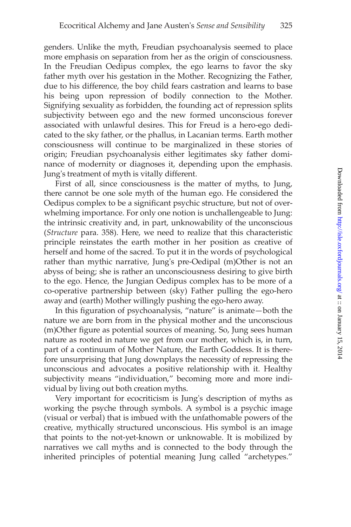genders. Unlike the myth, Freudian psychoanalysis seemed to place more emphasis on separation from her as the origin of consciousness. In the Freudian Oedipus complex, the ego learns to favor the sky father myth over his gestation in the Mother. Recognizing the Father, due to his difference, the boy child fears castration and learns to base his being upon repression of bodily connection to the Mother. Signifying sexuality as forbidden, the founding act of repression splits subjectivity between ego and the new formed unconscious forever associated with unlawful desires. This for Freud is a hero-ego dedicated to the sky father, or the phallus, in Lacanian terms. Earth mother consciousness will continue to be marginalized in these stories of origin; Freudian psychoanalysis either legitimates sky father dominance of modernity or diagnoses it, depending upon the emphasis. Jung's treatment of myth is vitally different.

First of all, since consciousness is the matter of myths, to Jung, there cannot be one sole myth of the human ego. He considered the Oedipus complex to be a significant psychic structure, but not of overwhelming importance. For only one notion is unchallengeable to Jung: the intrinsic creativity and, in part, unknowability of the unconscious (Structure para. 358). Here, we need to realize that this characteristic principle reinstates the earth mother in her position as creative of herself and home of the sacred. To put it in the words of psychological rather than mythic narrative, Jung's pre-Oedipal (m)Other is not an abyss of being; she is rather an unconsciousness desiring to give birth to the ego. Hence, the Jungian Oedipus complex has to be more of a co-operative partnership between (sky) Father pulling the ego-hero away and (earth) Mother willingly pushing the ego-hero away.

In this figuration of psychoanalysis, "nature" is animate—both the nature we are born from in the physical mother and the unconscious (m)Other figure as potential sources of meaning. So, Jung sees human nature as rooted in nature we get from our mother, which is, in turn, part of a continuum of Mother Nature, the Earth Goddess. It is therefore unsurprising that Jung downplays the necessity of repressing the unconscious and advocates a positive relationship with it. Healthy subjectivity means "individuation," becoming more and more individual by living out both creation myths.

Very important for ecocriticism is Jung's description of myths as working the psyche through symbols. A symbol is a psychic image (visual or verbal) that is imbued with the unfathomable powers of the creative, mythically structured unconscious. His symbol is an image that points to the not-yet-known or unknowable. It is mobilized by narratives we call myths and is connected to the body through the inherited principles of potential meaning Jung called "archetypes."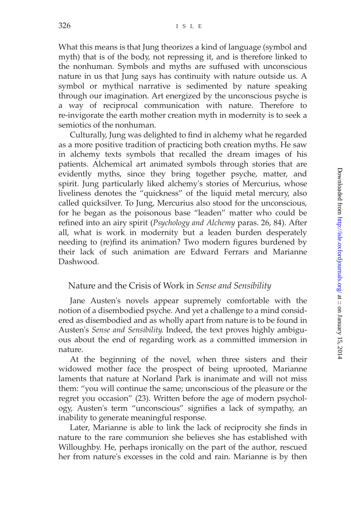What this means is that Jung theorizes a kind of language (symbol and myth) that is of the body, not repressing it, and is therefore linked to the nonhuman. Symbols and myths are suffused with unconscious nature in us that Jung says has continuity with nature outside us. A symbol or mythical narrative is sedimented by nature speaking through our imagination. Art energized by the unconscious psyche is a way of reciprocal communication with nature. Therefore to re-invigorate the earth mother creation myth in modernity is to seek a semiotics of the nonhuman.

Culturally, Jung was delighted to find in alchemy what he regarded as a more positive tradition of practicing both creation myths. He saw in alchemy texts symbols that recalled the dream images of his patients. Alchemical art animated symbols through stories that are evidently myths, since they bring together psyche, matter, and spirit. Jung particularly liked alchemy's stories of Mercurius, whose liveliness denotes the "quickness" of the liquid metal mercury, also called quicksilver. To Jung, Mercurius also stood for the unconscious, for he began as the poisonous base "leaden" matter who could be refined into an airy spirit (Psychology and Alchemy paras. 26, 84). After all, what is work in modernity but a leaden burden desperately needing to (re)find its animation? Two modern figures burdened by their lack of such animation are Edward Ferrars and Marianne Dashwood.

#### Nature and the Crisis of Work in Sense and Sensibility

Jane Austen's novels appear supremely comfortable with the notion of a disembodied psyche. And yet a challenge to a mind considered as disembodied and as wholly apart from nature is to be found in Austen's Sense and Sensibility. Indeed, the text proves highly ambiguous about the end of regarding work as a committed immersion in nature.

At the beginning of the novel, when three sisters and their widowed mother face the prospect of being uprooted, Marianne laments that nature at Norland Park is inanimate and will not miss them: "you will continue the same; unconscious of the pleasure or the regret you occasion" (23). Written before the age of modern psychology, Austen's term "unconscious" signifies a lack of sympathy, an inability to generate meaningful response.

Later, Marianne is able to link the lack of reciprocity she finds in nature to the rare communion she believes she has established with Willoughby. He, perhaps ironically on the part of the author, rescued her from nature's excesses in the cold and rain. Marianne is by then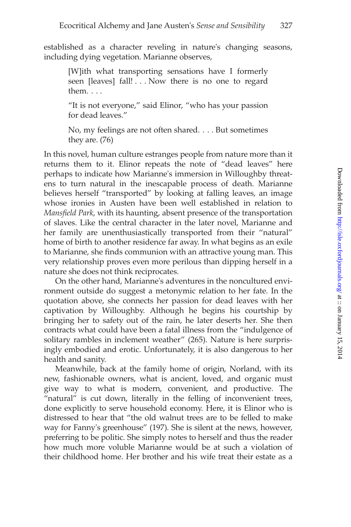established as a character reveling in nature's changing seasons, including dying vegetation. Marianne observes,

[W]ith what transporting sensations have I formerly seen [leaves] fall! ... Now there is no one to regard them. . . .

"It is not everyone," said Elinor, "who has your passion for dead leaves."

No, my feelings are not often shared. . . . But sometimes they are. (76)

In this novel, human culture estranges people from nature more than it returns them to it. Elinor repeats the note of "dead leaves" here perhaps to indicate how Marianne's immersion in Willoughby threatens to turn natural in the inescapable process of death. Marianne believes herself "transported" by looking at falling leaves, an image whose ironies in Austen have been well established in relation to Mansfield Park, with its haunting, absent presence of the transportation of slaves. Like the central character in the later novel, Marianne and her family are unenthusiastically transported from their "natural" home of birth to another residence far away. In what begins as an exile to Marianne, she finds communion with an attractive young man. This very relationship proves even more perilous than dipping herself in a nature she does not think reciprocates.

On the other hand, Marianne's adventures in the noncultured environment outside do suggest a metonymic relation to her fate. In the quotation above, she connects her passion for dead leaves with her captivation by Willoughby. Although he begins his courtship by bringing her to safety out of the rain, he later deserts her. She then contracts what could have been a fatal illness from the "indulgence of solitary rambles in inclement weather" (265). Nature is here surprisingly embodied and erotic. Unfortunately, it is also dangerous to her health and sanity.

Meanwhile, back at the family home of origin, Norland, with its new, fashionable owners, what is ancient, loved, and organic must give way to what is modern, convenient, and productive. The "natural" is cut down, literally in the felling of inconvenient trees, done explicitly to serve household economy. Here, it is Elinor who is distressed to hear that "the old walnut trees are to be felled to make way for Fanny's greenhouse" (197). She is silent at the news, however, preferring to be politic. She simply notes to herself and thus the reader how much more voluble Marianne would be at such a violation of their childhood home. Her brother and his wife treat their estate as a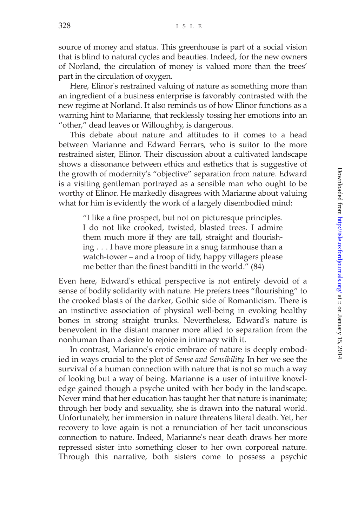source of money and status. This greenhouse is part of a social vision that is blind to natural cycles and beauties. Indeed, for the new owners of Norland, the circulation of money is valued more than the trees' part in the circulation of oxygen.

Here, Elinor's restrained valuing of nature as something more than an ingredient of a business enterprise is favorably contrasted with the new regime at Norland. It also reminds us of how Elinor functions as a warning hint to Marianne, that recklessly tossing her emotions into an "other," dead leaves or Willoughby, is dangerous.

This debate about nature and attitudes to it comes to a head between Marianne and Edward Ferrars, who is suitor to the more restrained sister, Elinor. Their discussion about a cultivated landscape shows a dissonance between ethics and esthetics that is suggestive of the growth of modernity's "objective" separation from nature. Edward is a visiting gentleman portrayed as a sensible man who ought to be worthy of Elinor. He markedly disagrees with Marianne about valuing what for him is evidently the work of a largely disembodied mind:

"I like a fine prospect, but not on picturesque principles. I do not like crooked, twisted, blasted trees. I admire them much more if they are tall, straight and flourishing . . . I have more pleasure in a snug farmhouse than a watch-tower – and a troop of tidy, happy villagers please me better than the finest banditti in the world." (84)

Even here, Edward's ethical perspective is not entirely devoid of a sense of bodily solidarity with nature. He prefers trees "flourishing" to the crooked blasts of the darker, Gothic side of Romanticism. There is an instinctive association of physical well-being in evoking healthy bones in strong straight trunks. Nevertheless, Edward's nature is benevolent in the distant manner more allied to separation from the nonhuman than a desire to rejoice in intimacy with it.

In contrast, Marianne's erotic embrace of nature is deeply embodied in ways crucial to the plot of Sense and Sensibility. In her we see the survival of a human connection with nature that is not so much a way of looking but a way of being. Marianne is a user of intuitive knowledge gained though a psyche united with her body in the landscape. Never mind that her education has taught her that nature is inanimate; through her body and sexuality, she is drawn into the natural world. Unfortunately, her immersion in nature threatens literal death. Yet, her recovery to love again is not a renunciation of her tacit unconscious connection to nature. Indeed, Marianne's near death draws her more repressed sister into something closer to her own corporeal nature. Through this narrative, both sisters come to possess a psychic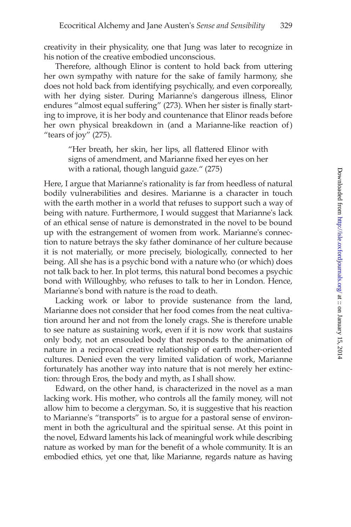creativity in their physicality, one that Jung was later to recognize in his notion of the creative embodied unconscious.

Therefore, although Elinor is content to hold back from uttering her own sympathy with nature for the sake of family harmony, she does not hold back from identifying psychically, and even corporeally, with her dying sister. During Marianne's dangerous illness, Elinor endures "almost equal suffering" (273). When her sister is finally starting to improve, it is her body and countenance that Elinor reads before her own physical breakdown in (and a Marianne-like reaction of ) "tears of joy" (275).

"Her breath, her skin, her lips, all flattered Elinor with signs of amendment, and Marianne fixed her eyes on her with a rational, though languid gaze." (275)

Here, I argue that Marianne's rationality is far from heedless of natural bodily vulnerabilities and desires. Marianne is a character in touch with the earth mother in a world that refuses to support such a way of being with nature. Furthermore, I would suggest that Marianne's lack of an ethical sense of nature is demonstrated in the novel to be bound up with the estrangement of women from work. Marianne's connection to nature betrays the sky father dominance of her culture because it is not materially, or more precisely, biologically, connected to her being. All she has is a psychic bond with a nature who (or which) does not talk back to her. In plot terms, this natural bond becomes a psychic bond with Willoughby, who refuses to talk to her in London. Hence, Marianne's bond with nature is the road to death.

Lacking work or labor to provide sustenance from the land, Marianne does not consider that her food comes from the neat cultivation around her and not from the lonely crags. She is therefore unable to see nature as sustaining work, even if it is now work that sustains only body, not an ensouled body that responds to the animation of nature in a reciprocal creative relationship of earth mother-oriented cultures. Denied even the very limited validation of work, Marianne fortunately has another way into nature that is not merely her extinction: through Eros, the body and myth, as I shall show.

Edward, on the other hand, is characterized in the novel as a man lacking work. His mother, who controls all the family money, will not allow him to become a clergyman. So, it is suggestive that his reaction to Marianne's "transports" is to argue for a pastoral sense of environment in both the agricultural and the spiritual sense. At this point in the novel, Edward laments his lack of meaningful work while describing nature as worked by man for the benefit of a whole community. It is an embodied ethics, yet one that, like Marianne, regards nature as having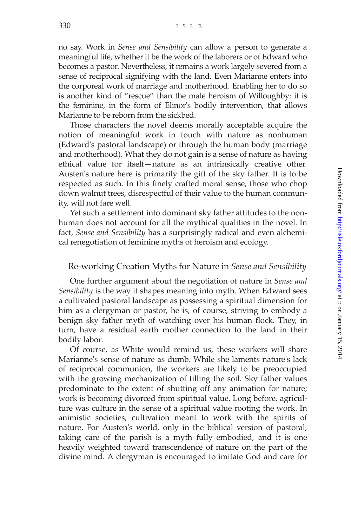no say. Work in Sense and Sensibility can allow a person to generate a meaningful life, whether it be the work of the laborers or of Edward who becomes a pastor. Nevertheless, it remains a work largely severed from a sense of reciprocal signifying with the land. Even Marianne enters into the corporeal work of marriage and motherhood. Enabling her to do so is another kind of "rescue" than the male heroism of Willoughby: it is the feminine, in the form of Elinor's bodily intervention, that allows Marianne to be reborn from the sickbed.

Those characters the novel deems morally acceptable acquire the notion of meaningful work in touch with nature as nonhuman (Edward's pastoral landscape) or through the human body (marriage and motherhood). What they do not gain is a sense of nature as having ethical value for itself—nature as an intrinsically creative other. Austen's nature here is primarily the gift of the sky father. It is to be respected as such. In this finely crafted moral sense, those who chop down walnut trees, disrespectful of their value to the human community, will not fare well.

Yet such a settlement into dominant sky father attitudes to the nonhuman does not account for all the mythical qualities in the novel. In fact, Sense and Sensibility has a surprisingly radical and even alchemical renegotiation of feminine myths of heroism and ecology.

#### Re-working Creation Myths for Nature in Sense and Sensibility

One further argument about the negotiation of nature in Sense and Sensibility is the way it shapes meaning into myth. When Edward sees a cultivated pastoral landscape as possessing a spiritual dimension for him as a clergyman or pastor, he is, of course, striving to embody a benign sky father myth of watching over his human flock. They, in turn, have a residual earth mother connection to the land in their bodily labor.

Of course, as White would remind us, these workers will share Marianne's sense of nature as dumb. While she laments nature's lack of reciprocal communion, the workers are likely to be preoccupied with the growing mechanization of tilling the soil. Sky father values predominate to the extent of shutting off any animation for nature; work is becoming divorced from spiritual value. Long before, agriculture was culture in the sense of a spiritual value rooting the work. In animistic societies, cultivation meant to work with the spirits of nature. For Austen's world, only in the biblical version of pastoral, taking care of the parish is a myth fully embodied, and it is one heavily weighted toward transcendence of nature on the part of the divine mind. A clergyman is encouraged to imitate God and care for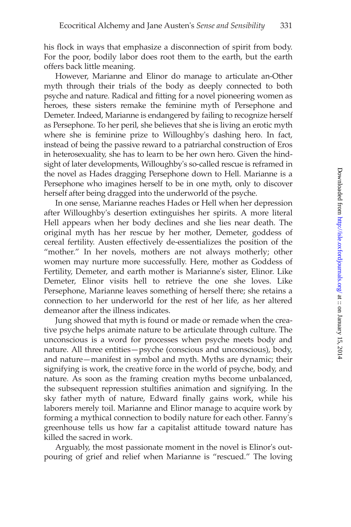his flock in ways that emphasize a disconnection of spirit from body. For the poor, bodily labor does root them to the earth, but the earth offers back little meaning.

However, Marianne and Elinor do manage to articulate an-Other myth through their trials of the body as deeply connected to both psyche and nature. Radical and fitting for a novel pioneering women as heroes, these sisters remake the feminine myth of Persephone and Demeter. Indeed, Marianne is endangered by failing to recognize herself as Persephone. To her peril, she believes that she is living an erotic myth where she is feminine prize to Willoughby's dashing hero. In fact, instead of being the passive reward to a patriarchal construction of Eros in heterosexuality, she has to learn to be her own hero. Given the hindsight of later developments, Willoughby's so-called rescue is reframed in the novel as Hades dragging Persephone down to Hell. Marianne is a Persephone who imagines herself to be in one myth, only to discover herself after being dragged into the underworld of the psyche.

In one sense, Marianne reaches Hades or Hell when her depression after Willoughby's desertion extinguishes her spirits. A more literal Hell appears when her body declines and she lies near death. The original myth has her rescue by her mother, Demeter, goddess of cereal fertility. Austen effectively de-essentializes the position of the "mother." In her novels, mothers are not always motherly; other women may nurture more successfully. Here, mother as Goddess of Fertility, Demeter, and earth mother is Marianne's sister, Elinor. Like Demeter, Elinor visits hell to retrieve the one she loves. Like Persephone, Marianne leaves something of herself there; she retains a connection to her underworld for the rest of her life, as her altered demeanor after the illness indicates.

Jung showed that myth is found or made or remade when the creative psyche helps animate nature to be articulate through culture. The unconscious is a word for processes when psyche meets body and nature. All three entities—psyche (conscious and unconscious), body, and nature—manifest in symbol and myth. Myths are dynamic; their signifying is work, the creative force in the world of psyche, body, and nature. As soon as the framing creation myths become unbalanced, the subsequent repression stultifies animation and signifying. In the sky father myth of nature, Edward finally gains work, while his laborers merely toil. Marianne and Elinor manage to acquire work by forming a mythical connection to bodily nature for each other. Fanny's greenhouse tells us how far a capitalist attitude toward nature has killed the sacred in work.

Arguably, the most passionate moment in the novel is Elinor's outpouring of grief and relief when Marianne is "rescued." The loving